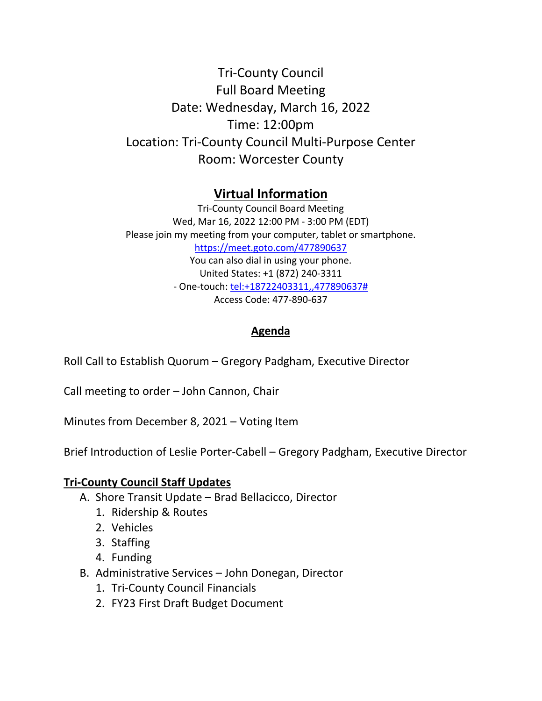Tri‐County Council Full Board Meeting Date: Wednesday, March 16, 2022 Time: 12:00pm Location: Tri‐County Council Multi‐Purpose Center Room: Worcester County

## **Virtual Information**

Tri‐County Council Board Meeting Wed, Mar 16, 2022 12:00 PM ‐ 3:00 PM (EDT) Please join my meeting from your computer, tablet or smartphone. https://meet.goto.com/477890637 You can also dial in using your phone. United States: +1 (872) 240‐3311 ‐ One‐touch: tel:+18722403311,,477890637# Access Code: 477‐890‐637

## **Agenda**

Roll Call to Establish Quorum – Gregory Padgham, Executive Director

Call meeting to order – John Cannon, Chair

Minutes from December 8, 2021 – Voting Item

Brief Introduction of Leslie Porter‐Cabell – Gregory Padgham, Executive Director

## **Tri‐County Council Staff Updates**

- A. Shore Transit Update Brad Bellacicco, Director
	- 1. Ridership & Routes
	- 2. Vehicles
	- 3. Staffing
	- 4. Funding
- B. Administrative Services John Donegan, Director
	- 1. Tri‐County Council Financials
	- 2. FY23 First Draft Budget Document